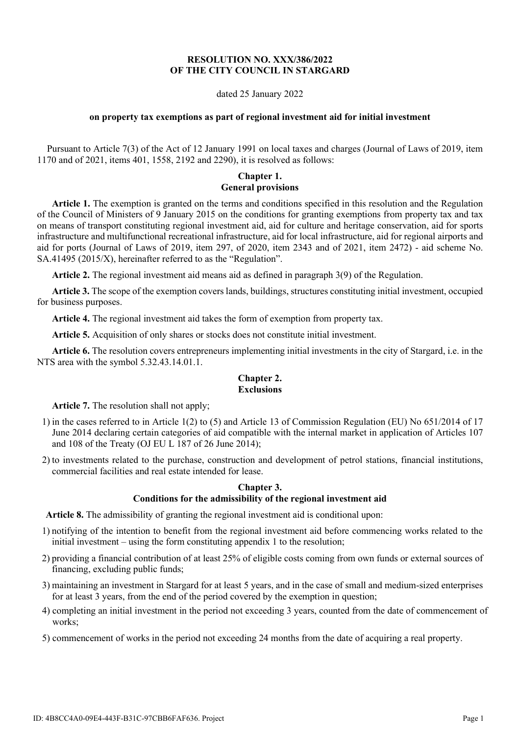### **RESOLUTION NO. XXX/386/2022 OF THE CITY COUNCIL IN STARGARD**

#### dated 25 January 2022

#### **on property tax exemptions as part of regional investment aid for initial investment**

Pursuant to Article 7(3) of the Act of 12 January 1991 on local taxes and charges (Journal of Laws of 2019, item 1170 and of 2021, items 401, 1558, 2192 and 2290), it is resolved as follows:

### **Chapter 1. General provisions**

**Article 1.** The exemption is granted on the terms and conditions specified in this resolution and the Regulation of the Council of Ministers of 9 January 2015 on the conditions for granting exemptions from property tax and tax on means of transport constituting regional investment aid, aid for culture and heritage conservation, aid for sports infrastructure and multifunctional recreational infrastructure, aid for local infrastructure, aid for regional airports and aid for ports (Journal of Laws of 2019, item 297, of 2020, item 2343 and of 2021, item 2472) - aid scheme No. SA.41495 (2015/X), hereinafter referred to as the "Regulation".

**Article 2.** The regional investment aid means aid as defined in paragraph 3(9) of the Regulation.

**Article 3.** The scope of the exemption covers lands, buildings, structures constituting initial investment, occupied for business purposes.

**Article 4.** The regional investment aid takes the form of exemption from property tax.

**Article 5.** Acquisition of only shares or stocks does not constitute initial investment.

**Article 6.** The resolution covers entrepreneurs implementing initial investments in the city of Stargard, i.e. in the NTS area with the symbol 5.32.43.14.01.1.

#### **Chapter 2. Exclusions**

**Article 7.** The resolution shall not apply;

- 1) in the cases referred to in Article 1(2) to (5) and Article 13 of Commission Regulation (EU) No 651/2014 of 17 June 2014 declaring certain categories of aid compatible with the internal market in application of Articles 107 and 108 of the Treaty (OJ EU L 187 of 26 June 2014);
- 2) to investments related to the purchase, construction and development of petrol stations, financial institutions, commercial facilities and real estate intended for lease.

#### **Chapter 3. Conditions for the admissibility of the regional investment aid**

**Article 8.** The admissibility of granting the regional investment aid is conditional upon:

- 1) notifying of the intention to benefit from the regional investment aid before commencing works related to the initial investment – using the form constituting appendix 1 to the resolution;
- 2) providing a financial contribution of at least 25% of eligible costs coming from own funds or external sources of financing, excluding public funds;
- 3) maintaining an investment in Stargard for at least 5 years, and in the case of small and medium-sized enterprises for at least 3 years, from the end of the period covered by the exemption in question;
- 4) completing an initial investment in the period not exceeding 3 years, counted from the date of commencement of works;
- 5) commencement of works in the period not exceeding 24 months from the date of acquiring a real property.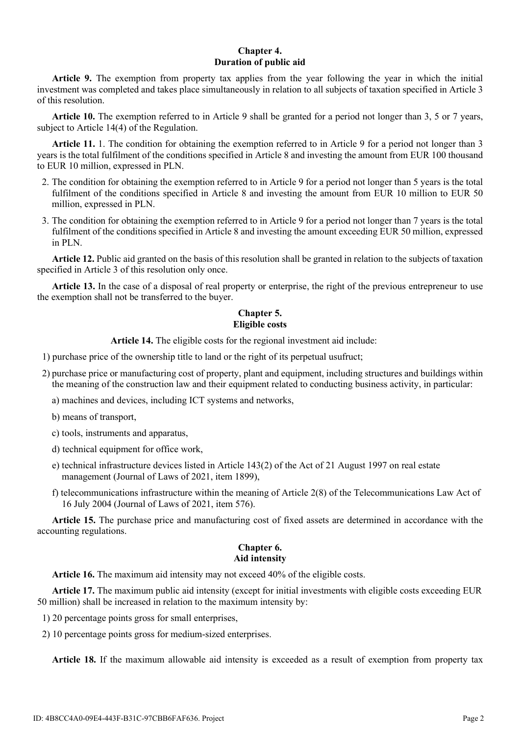## **Chapter 4. Duration of public aid**

**Article 9.** The exemption from property tax applies from the year following the year in which the initial investment was completed and takes place simultaneously in relation to all subjects of taxation specified in Article 3 of this resolution.

**Article 10.** The exemption referred to in Article 9 shall be granted for a period not longer than 3, 5 or 7 years, subject to Article 14(4) of the Regulation.

**Article 11.** 1. The condition for obtaining the exemption referred to in Article 9 for a period not longer than 3 years is the total fulfilment of the conditions specified in Article 8 and investing the amount from EUR 100 thousand to EUR 10 million, expressed in PLN.

- 2. The condition for obtaining the exemption referred to in Article 9 for a period not longer than 5 years is the total fulfilment of the conditions specified in Article 8 and investing the amount from EUR 10 million to EUR 50 million, expressed in PLN.
- 3. The condition for obtaining the exemption referred to in Article 9 for a period not longer than 7 years is the total fulfilment of the conditions specified in Article 8 and investing the amount exceeding EUR 50 million, expressed in PLN.

**Article 12.** Public aid granted on the basis of this resolution shall be granted in relation to the subjects of taxation specified in Article 3 of this resolution only once.

**Article 13.** In the case of a disposal of real property or enterprise, the right of the previous entrepreneur to use the exemption shall not be transferred to the buyer.

# **Chapter 5. Eligible costs**

**Article 14.** The eligible costs for the regional investment aid include:

1) purchase price of the ownership title to land or the right of its perpetual usufruct;

2) purchase price or manufacturing cost of property, plant and equipment, including structures and buildings within the meaning of the construction law and their equipment related to conducting business activity, in particular:

a) machines and devices, including ICT systems and networks,

- b) means of transport,
- c) tools, instruments and apparatus,
- d) technical equipment for office work,
- e) technical infrastructure devices listed in Article 143(2) of the Act of 21 August 1997 on real estate management (Journal of Laws of 2021, item 1899),
- f) telecommunications infrastructure within the meaning of Article 2(8) of the Telecommunications Law Act of 16 July 2004 (Journal of Laws of 2021, item 576).

**Article 15.** The purchase price and manufacturing cost of fixed assets are determined in accordance with the accounting regulations.

#### **Chapter 6. Aid intensity**

**Article 16.** The maximum aid intensity may not exceed 40% of the eligible costs.

**Article 17.** The maximum public aid intensity (except for initial investments with eligible costs exceeding EUR 50 million) shall be increased in relation to the maximum intensity by:

1) 20 percentage points gross for small enterprises,

2) 10 percentage points gross for medium-sized enterprises.

**Article 18.** If the maximum allowable aid intensity is exceeded as a result of exemption from property tax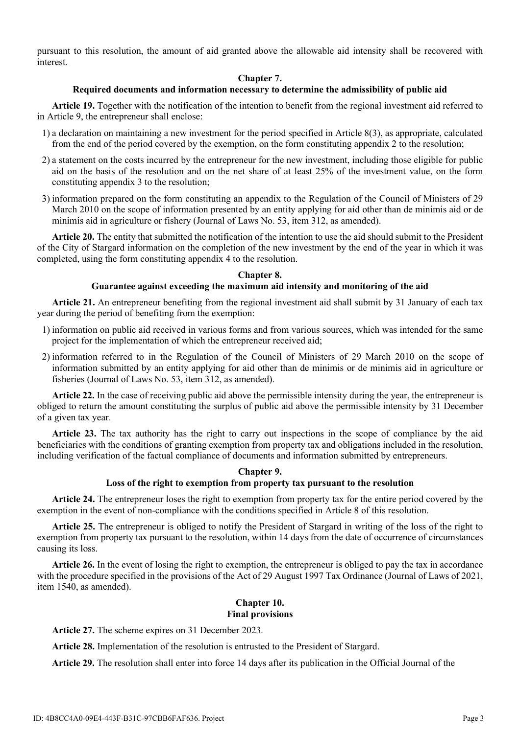pursuant to this resolution, the amount of aid granted above the allowable aid intensity shall be recovered with interest.

## **Chapter 7.**

### **Required documents and information necessary to determine the admissibility of public aid**

**Article 19.** Together with the notification of the intention to benefit from the regional investment aid referred to in Article 9, the entrepreneur shall enclose:

- 1) a declaration on maintaining a new investment for the period specified in Article 8(3), as appropriate, calculated from the end of the period covered by the exemption, on the form constituting appendix 2 to the resolution;
- 2) a statement on the costs incurred by the entrepreneur for the new investment, including those eligible for public aid on the basis of the resolution and on the net share of at least 25% of the investment value, on the form constituting appendix 3 to the resolution;
- 3) information prepared on the form constituting an appendix to the Regulation of the Council of Ministers of 29 March 2010 on the scope of information presented by an entity applying for aid other than de minimis aid or de minimis aid in agriculture or fishery (Journal of Laws No. 53, item 312, as amended).

**Article 20.** The entity that submitted the notification of the intention to use the aid should submit to the President of the City of Stargard information on the completion of the new investment by the end of the year in which it was completed, using the form constituting appendix 4 to the resolution.

#### **Chapter 8.**

### **Guarantee against exceeding the maximum aid intensity and monitoring of the aid**

**Article 21.** An entrepreneur benefiting from the regional investment aid shall submit by 31 January of each tax year during the period of benefiting from the exemption:

- 1) information on public aid received in various forms and from various sources, which was intended for the same project for the implementation of which the entrepreneur received aid;
- 2) information referred to in the Regulation of the Council of Ministers of 29 March 2010 on the scope of information submitted by an entity applying for aid other than de minimis or de minimis aid in agriculture or fisheries (Journal of Laws No. 53, item 312, as amended).

**Article 22.** In the case of receiving public aid above the permissible intensity during the year, the entrepreneur is obliged to return the amount constituting the surplus of public aid above the permissible intensity by 31 December of a given tax year.

**Article 23.** The tax authority has the right to carry out inspections in the scope of compliance by the aid beneficiaries with the conditions of granting exemption from property tax and obligations included in the resolution, including verification of the factual compliance of documents and information submitted by entrepreneurs.

#### **Chapter 9.**

### **Loss of the right to exemption from property tax pursuant to the resolution**

**Article 24.** The entrepreneur loses the right to exemption from property tax for the entire period covered by the exemption in the event of non-compliance with the conditions specified in Article 8 of this resolution.

**Article 25.** The entrepreneur is obliged to notify the President of Stargard in writing of the loss of the right to exemption from property tax pursuant to the resolution, within 14 days from the date of occurrence of circumstances causing its loss.

**Article 26.** In the event of losing the right to exemption, the entrepreneur is obliged to pay the tax in accordance with the procedure specified in the provisions of the Act of 29 August 1997 Tax Ordinance (Journal of Laws of 2021, item 1540, as amended).

#### **Chapter 10. Final provisions**

**Article 27.** The scheme expires on 31 December 2023.

**Article 28.** Implementation of the resolution is entrusted to the President of Stargard.

**Article 29.** The resolution shall enter into force 14 days after its publication in the Official Journal of the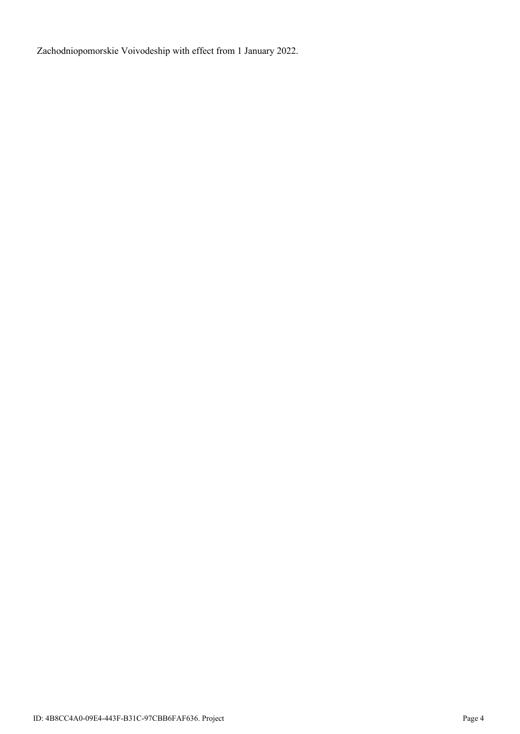Zachodniopomorskie Voivodeship with effect from 1 January 2022.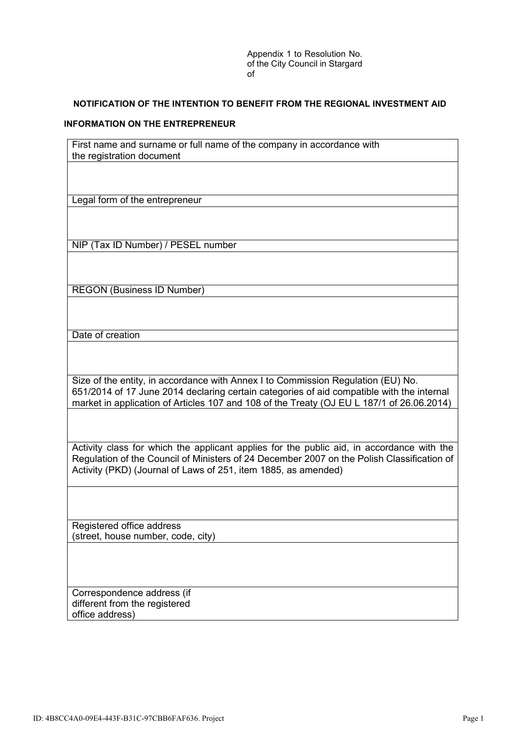Appendix 1 to Resolution No. of the City Council in Stargard of

### **NOTIFICATION OF THE INTENTION TO BENEFIT FROM THE REGIONAL INVESTMENT AID**

#### **INFORMATION ON THE ENTREPRENEUR**

First name and surname or full name of the company in accordance with the registration document Legal form of the entrepreneur NIP (Tax ID Number) / PESEL number REGON (Business ID Number) Date of creation Size of the entity, in accordance with Annex I to Commission Regulation (EU) No. 651/2014 of 17 June 2014 declaring certain categories of aid compatible with the internal market in application of Articles 107 and 108 of the Treaty (OJ EU L 187/1 of 26.06.2014) Activity class for which the applicant applies for the public aid, in accordance with the Regulation of the Council of Ministers of 24 December 2007 on the Polish Classification of Activity (PKD) (Journal of Laws of 251, item 1885, as amended) Registered office address (street, house number, code, city) Correspondence address (if different from the registered office address)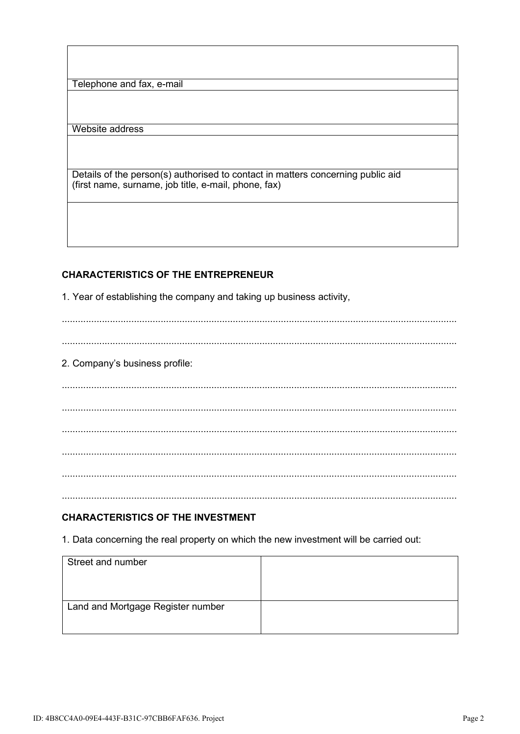Telephone and fax, e-mail

Website address

Details of the person(s) authorised to contact in matters concerning public aid (first name, surname, job title, e-mail, phone, fax)

# **CHARACTERISTICS OF THE ENTREPRENEUR**

1. Year of establishing the company and taking up business activity,

2. Company's business profile:

## **CHARACTERISTICS OF THE INVESTMENT**

1. Data concerning the real property on which the new investment will be carried out:

| Street and number                 |  |
|-----------------------------------|--|
| Land and Mortgage Register number |  |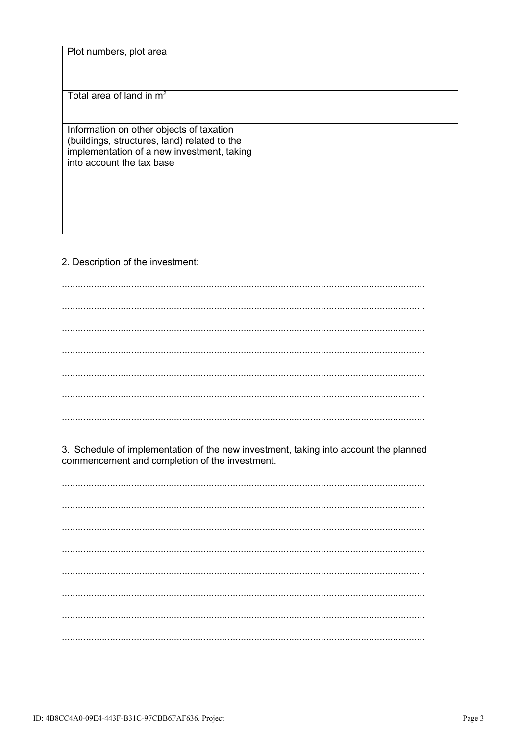| Plot numbers, plot area                                                                                                                                             |  |
|---------------------------------------------------------------------------------------------------------------------------------------------------------------------|--|
| Total area of land in $m2$                                                                                                                                          |  |
| Information on other objects of taxation<br>(buildings, structures, land) related to the<br>implementation of a new investment, taking<br>into account the tax base |  |

## 2. Description of the investment:

3. Schedule of implementation of the new investment, taking into account the planned commencement and completion of the investment.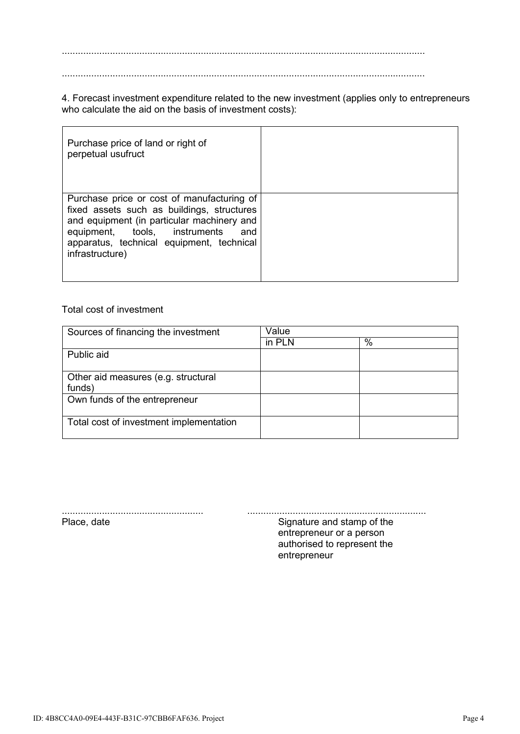........................................................................................................................................

........................................................................................................................................

4. Forecast investment expenditure related to the new investment (applies only to entrepreneurs who calculate the aid on the basis of investment costs):

| Purchase price of land or right of<br>perpetual usufruct                                                                                                                                                                                       |  |
|------------------------------------------------------------------------------------------------------------------------------------------------------------------------------------------------------------------------------------------------|--|
| Purchase price or cost of manufacturing of<br>fixed assets such as buildings, structures<br>and equipment (in particular machinery and<br>equipment, tools, instruments<br>and<br>apparatus, technical equipment, technical<br>infrastructure) |  |

## Total cost of investment

| Sources of financing the investment     | Value  |      |
|-----------------------------------------|--------|------|
|                                         | in PLN | $\%$ |
| Public aid                              |        |      |
|                                         |        |      |
| Other aid measures (e.g. structural     |        |      |
| funds)                                  |        |      |
| Own funds of the entrepreneur           |        |      |
|                                         |        |      |
| Total cost of investment implementation |        |      |
|                                         |        |      |

..................................................... ................................................................... Signature and stamp of the entrepreneur or a person authorised to represent the entrepreneur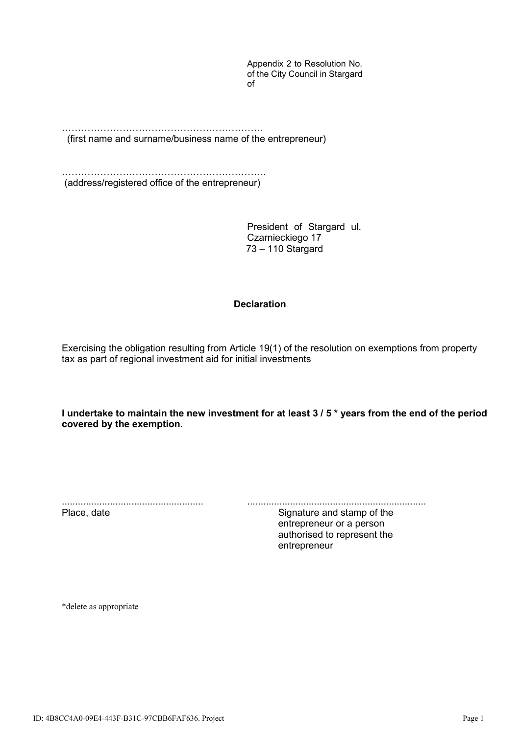Appendix 2 to Resolution No. of the City Council in Stargard of

……………………………………………………… (first name and surname/business name of the entrepreneur)

………………………………………………………. (address/registered office of the entrepreneur)

> President of Stargard ul. Czarnieckiego 17 73 – 110 Stargard

## **Declaration**

Exercising the obligation resulting from Article 19(1) of the resolution on exemptions from property tax as part of regional investment aid for initial investments

**I undertake to maintain the new investment for at least 3 / 5 \* years from the end of the period covered by the exemption.**

..................................................... ................................................................... Signature and stamp of the entrepreneur or a person authorised to represent the entrepreneur

\*delete as appropriate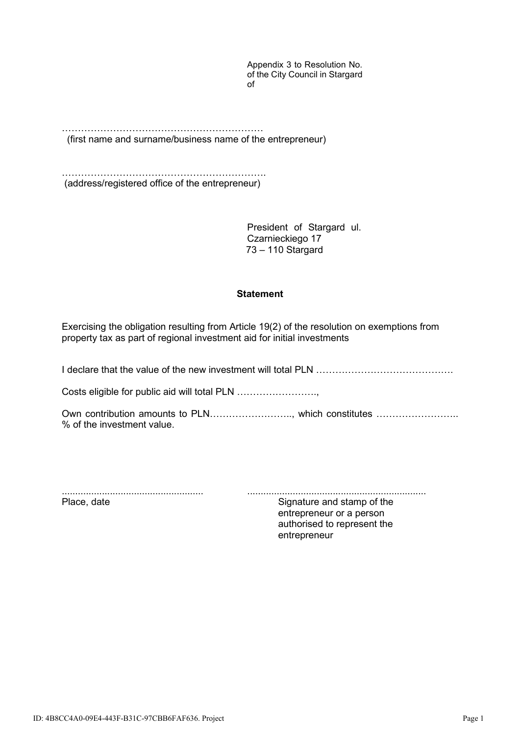Appendix 3 to Resolution No. of the City Council in Stargard of

……………………………………………………… (first name and surname/business name of the entrepreneur)

………………………………………………………. (address/registered office of the entrepreneur)

> President of Stargard ul. Czarnieckiego 17 73 – 110 Stargard

## **Statement**

Exercising the obligation resulting from Article 19(2) of the resolution on exemptions from property tax as part of regional investment aid for initial investments

I declare that the value of the new investment will total PLN …………………………………….

Costs eligible for public aid will total PLN …………………….,

Own contribution amounts to PLN........................., which constitutes .................................. % of the investment value.

..................................................... ................................................................... Signature and stamp of the entrepreneur or a person authorised to represent the entrepreneur